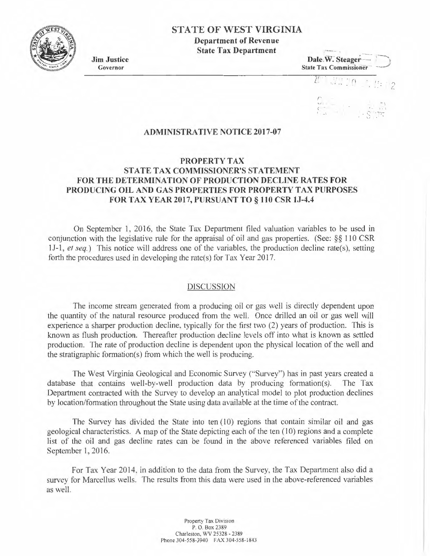# **STATE OF WEST VIRGINIA**

**Department of Revenue State Tax Department** 

**Jim Justice**  Governor

**Dale W. Steager State Tax Commissioner** 

 $\prod_{i=1}^n \prod_{i=1}^n f_i$  $\mathcal{L}$ <.

 $\rightarrow$ 

#### **ADMINISTRATIVE NOTICE 2017-07**

# **PROPERTY TAX STATE TAX COMMISSIONER'S STATEMENT FOR THE DETERMINATION OF PRODUCTION DECLINE RA TES FOR PRODUCING OIL AND GAS PROPERTIES FOR PROPERTY TAX PURPOSES FOR TAX YEAR 2017, PURSUANT TO§ 110 CSR lJ-4.4**

On September I, 2016, the State Tax Department filed valuation variables to be used in conjunction with the legislative rule for the appraisal of oil and gas properties. (See: §§ 110 CSR 1J-1 , *et seq.)* This notice will address one of the variables, the production decline rate(s), setting forth the procedures used in developing the rate(s) for Tax Year 2017.

#### DISCUSSION

The income stream generated from a producing oil or gas well is directly dependent upon the quantity of the natural resource produced from the well. Once drilled an oil or gas well will experience a sharper production decline, typically for the first two (2) years of production. This is known as flush production. Thereafter production decline levels off into what is known as settled production. The rate of production decline is dependent upon the physical location of the well and the stratigraphic formation(s) from which the well is producing.

The West Virginia Geological and Economic Survey ("Survey") has in past years created a database that contains well-by-well production data by producing formation(s). The Tax Department contracted with the Survey to develop an analytical model to plot production declines by location/formation throughout the State using data available at the time of the contract.

The Survey has divided the State into ten  $(10)$  regions that contain similar oil and gas geological characteristics. A map of the State depicting each of the ten (10) regions and a complete list of the oil and gas decline rates can be found in the above referenced variables filed on September 1, 2016.

For Tax Year 2014, in addition to the data from the Survey, the Tax Department also did a survey for Marcellus wells. The results from this data were used in the above-referenced variables as well.

> Property Tax Division P. 0 . Box 2389 Charleston, WV 25328 - 2389 Phone 304-558-3940 FAX 304-558-1843